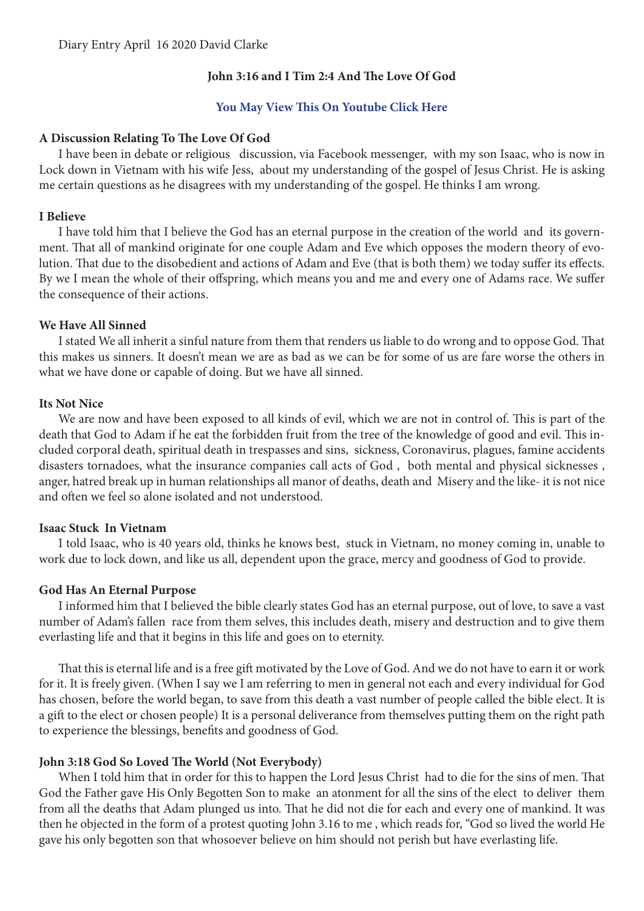# **John 3:16 and I Tim 2:4 And The Love Of God**

## **[You May View This On Youtube Click Here](https://youtu.be/r47qYk4NzBM)**

#### **A Discussion Relating To The Love Of God**

I have been in debate or religious discussion, via Facebook messenger, with my son Isaac, who is now in Lock down in Vietnam with his wife Jess, about my understanding of the gospel of Jesus Christ. He is asking me certain questions as he disagrees with my understanding of the gospel. He thinks I am wrong.

#### **I Believe**

I have told him that I believe the God has an eternal purpose in the creation of the world and its government. That all of mankind originate for one couple Adam and Eve which opposes the modern theory of evolution. That due to the disobedient and actions of Adam and Eve (that is both them) we today suffer its effects. By we I mean the whole of their offspring, which means you and me and every one of Adams race. We suffer the consequence of their actions.

## **We Have All Sinned**

I stated We all inherit a sinful nature from them that renders us liable to do wrong and to oppose God. That this makes us sinners. It doesn't mean we are as bad as we can be for some of us are fare worse the others in what we have done or capable of doing. But we have all sinned.

#### **Its Not Nice**

We are now and have been exposed to all kinds of evil, which we are not in control of. This is part of the death that God to Adam if he eat the forbidden fruit from the tree of the knowledge of good and evil. This included corporal death, spiritual death in trespasses and sins, sickness, Coronavirus, plagues, famine accidents disasters tornadoes, what the insurance companies call acts of God , both mental and physical sicknesses , anger, hatred break up in human relationships all manor of deaths, death and Misery and the like- it is not nice and often we feel so alone isolated and not understood.

#### **Isaac Stuck In Vietnam**

I told Isaac, who is 40 years old, thinks he knows best, stuck in Vietnam, no money coming in, unable to work due to lock down, and like us all, dependent upon the grace, mercy and goodness of God to provide.

## **God Has An Eternal Purpose**

I informed him that I believed the bible clearly states God has an eternal purpose, out of love, to save a vast number of Adam's fallen race from them selves, this includes death, misery and destruction and to give them everlasting life and that it begins in this life and goes on to eternity.

That this is eternal life and is a free gift motivated by the Love of God. And we do not have to earn it or work for it. It is freely given. (When I say we I am referring to men in general not each and every individual for God has chosen, before the world began, to save from this death a vast number of people called the bible elect. It is a gift to the elect or chosen people) It is a personal deliverance from themselves putting them on the right path to experience the blessings, benefits and goodness of God.

## **John 3:18 God So Loved The World (Not Everybody)**

When I told him that in order for this to happen the Lord Jesus Christ had to die for the sins of men. That God the Father gave His Only Begotten Son to make an atonment for all the sins of the elect to deliver them from all the deaths that Adam plunged us into. That he did not die for each and every one of mankind. It was then he objected in the form of a protest quoting John 3.16 to me , which reads for, "God so lived the world He gave his only begotten son that whosoever believe on him should not perish but have everlasting life.